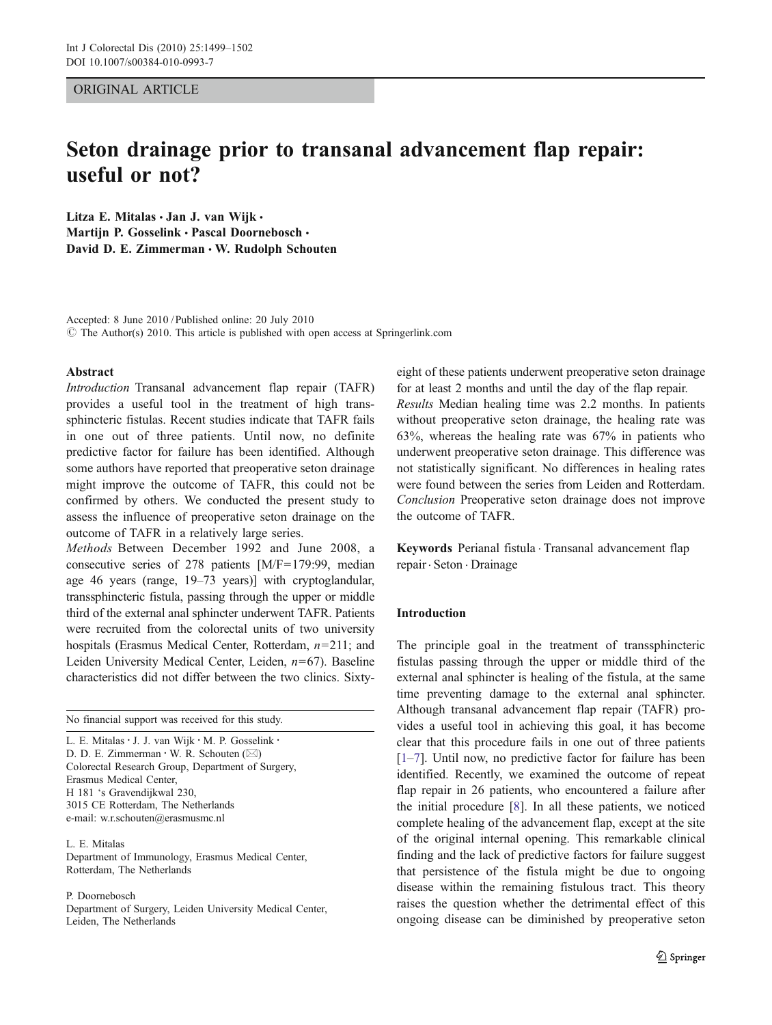# ORIGINAL ARTICLE

# Seton drainage prior to transanal advancement flap repair: useful or not?

Litza E. Mitalas · Jan J. van Wijk · Martijn P. Gosselink · Pascal Doornebosch · David D. E. Zimmerman  $\cdot$  W. Rudolph Schouten

Accepted: 8 June 2010 / Published online: 20 July 2010 © The Author(s) 2010. This article is published with open access at Springerlink.com

#### Abstract

Introduction Transanal advancement flap repair (TAFR) provides a useful tool in the treatment of high transsphincteric fistulas. Recent studies indicate that TAFR fails in one out of three patients. Until now, no definite predictive factor for failure has been identified. Although some authors have reported that preoperative seton drainage might improve the outcome of TAFR, this could not be confirmed by others. We conducted the present study to assess the influence of preoperative seton drainage on the outcome of TAFR in a relatively large series.

Methods Between December 1992 and June 2008, a consecutive series of 278 patients [M/F=179:99, median age 46 years (range, 19–73 years)] with cryptoglandular, transsphincteric fistula, passing through the upper or middle third of the external anal sphincter underwent TAFR. Patients were recruited from the colorectal units of two university hospitals (Erasmus Medical Center, Rotterdam,  $n=211$ ; and Leiden University Medical Center, Leiden,  $n=67$ ). Baseline characteristics did not differ between the two clinics. Sixty-

No financial support was received for this study.

L. E. Mitalas · J. J. van Wijk · M. P. Gosselink · D. D. E. Zimmerman  $\cdot$  W. R. Schouten ( $\boxtimes$ ) Colorectal Research Group, Department of Surgery, Erasmus Medical Center, H 181 's Gravendijkwal 230, 3015 CE Rotterdam, The Netherlands e-mail: w.r.schouten@erasmusmc.nl

L. E. Mitalas Department of Immunology, Erasmus Medical Center, Rotterdam, The Netherlands

P. Doornebosch

Department of Surgery, Leiden University Medical Center, Leiden, The Netherlands

eight of these patients underwent preoperative seton drainage for at least 2 months and until the day of the flap repair. Results Median healing time was 2.2 months. In patients without preoperative seton drainage, the healing rate was 63%, whereas the healing rate was 67% in patients who underwent preoperative seton drainage. This difference was not statistically significant. No differences in healing rates were found between the series from Leiden and Rotterdam. Conclusion Preoperative seton drainage does not improve the outcome of TAFR.

Keywords Perianal fistula . Transanal advancement flap repair. Seton . Drainage

# Introduction

The principle goal in the treatment of transsphincteric fistulas passing through the upper or middle third of the external anal sphincter is healing of the fistula, at the same time preventing damage to the external anal sphincter. Although transanal advancement flap repair (TAFR) provides a useful tool in achieving this goal, it has become clear that this procedure fails in one out of three patients  $[1–7]$  $[1–7]$  $[1–7]$  $[1–7]$ . Until now, no predictive factor for failure has been identified. Recently, we examined the outcome of repeat flap repair in 26 patients, who encountered a failure after the initial procedure [\[8](#page-3-0)]. In all these patients, we noticed complete healing of the advancement flap, except at the site of the original internal opening. This remarkable clinical finding and the lack of predictive factors for failure suggest that persistence of the fistula might be due to ongoing disease within the remaining fistulous tract. This theory raises the question whether the detrimental effect of this ongoing disease can be diminished by preoperative seton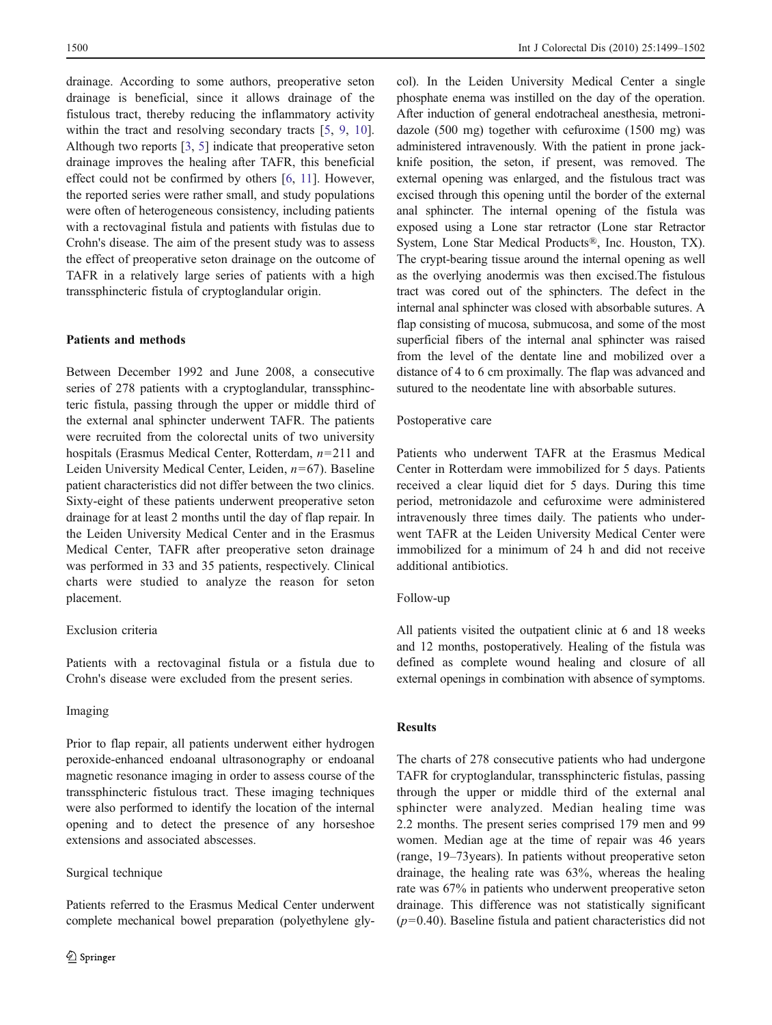drainage. According to some authors, preoperative seton drainage is beneficial, since it allows drainage of the fistulous tract, thereby reducing the inflammatory activity within the tract and resolving secondary tracts [\[5](#page-3-0), [9,](#page-3-0) [10](#page-3-0)]. Although two reports [[3,](#page-3-0) [5](#page-3-0)] indicate that preoperative seton drainage improves the healing after TAFR, this beneficial effect could not be confirmed by others [[6,](#page-3-0) [11](#page-3-0)]. However, the reported series were rather small, and study populations were often of heterogeneous consistency, including patients with a rectovaginal fistula and patients with fistulas due to Crohn's disease. The aim of the present study was to assess the effect of preoperative seton drainage on the outcome of TAFR in a relatively large series of patients with a high transsphincteric fistula of cryptoglandular origin.

# Patients and methods

Between December 1992 and June 2008, a consecutive series of 278 patients with a cryptoglandular, transsphincteric fistula, passing through the upper or middle third of the external anal sphincter underwent TAFR. The patients were recruited from the colorectal units of two university hospitals (Erasmus Medical Center, Rotterdam,  $n=211$  and Leiden University Medical Center, Leiden,  $n=67$ ). Baseline patient characteristics did not differ between the two clinics. Sixty-eight of these patients underwent preoperative seton drainage for at least 2 months until the day of flap repair. In the Leiden University Medical Center and in the Erasmus Medical Center, TAFR after preoperative seton drainage was performed in 33 and 35 patients, respectively. Clinical charts were studied to analyze the reason for seton placement.

# Exclusion criteria

Patients with a rectovaginal fistula or a fistula due to Crohn's disease were excluded from the present series.

#### Imaging

Prior to flap repair, all patients underwent either hydrogen peroxide-enhanced endoanal ultrasonography or endoanal magnetic resonance imaging in order to assess course of the transsphincteric fistulous tract. These imaging techniques were also performed to identify the location of the internal opening and to detect the presence of any horseshoe extensions and associated abscesses.

# Surgical technique

Patients referred to the Erasmus Medical Center underwent complete mechanical bowel preparation (polyethylene glycol). In the Leiden University Medical Center a single phosphate enema was instilled on the day of the operation. After induction of general endotracheal anesthesia, metronidazole (500 mg) together with cefuroxime (1500 mg) was administered intravenously. With the patient in prone jackknife position, the seton, if present, was removed. The external opening was enlarged, and the fistulous tract was excised through this opening until the border of the external anal sphincter. The internal opening of the fistula was exposed using a Lone star retractor (Lone star Retractor System, Lone Star Medical Products®, Inc. Houston, TX). The crypt-bearing tissue around the internal opening as well as the overlying anodermis was then excised.The fistulous tract was cored out of the sphincters. The defect in the internal anal sphincter was closed with absorbable sutures. A flap consisting of mucosa, submucosa, and some of the most superficial fibers of the internal anal sphincter was raised from the level of the dentate line and mobilized over a distance of 4 to 6 cm proximally. The flap was advanced and sutured to the neodentate line with absorbable sutures.

## Postoperative care

Patients who underwent TAFR at the Erasmus Medical Center in Rotterdam were immobilized for 5 days. Patients received a clear liquid diet for 5 days. During this time period, metronidazole and cefuroxime were administered intravenously three times daily. The patients who underwent TAFR at the Leiden University Medical Center were immobilized for a minimum of 24 h and did not receive additional antibiotics.

## Follow-up

All patients visited the outpatient clinic at 6 and 18 weeks and 12 months, postoperatively. Healing of the fistula was defined as complete wound healing and closure of all external openings in combination with absence of symptoms.

### Results

The charts of 278 consecutive patients who had undergone TAFR for cryptoglandular, transsphincteric fistulas, passing through the upper or middle third of the external anal sphincter were analyzed. Median healing time was 2.2 months. The present series comprised 179 men and 99 women. Median age at the time of repair was 46 years (range, 19–73years). In patients without preoperative seton drainage, the healing rate was 63%, whereas the healing rate was 67% in patients who underwent preoperative seton drainage. This difference was not statistically significant  $(p=0.40)$ . Baseline fistula and patient characteristics did not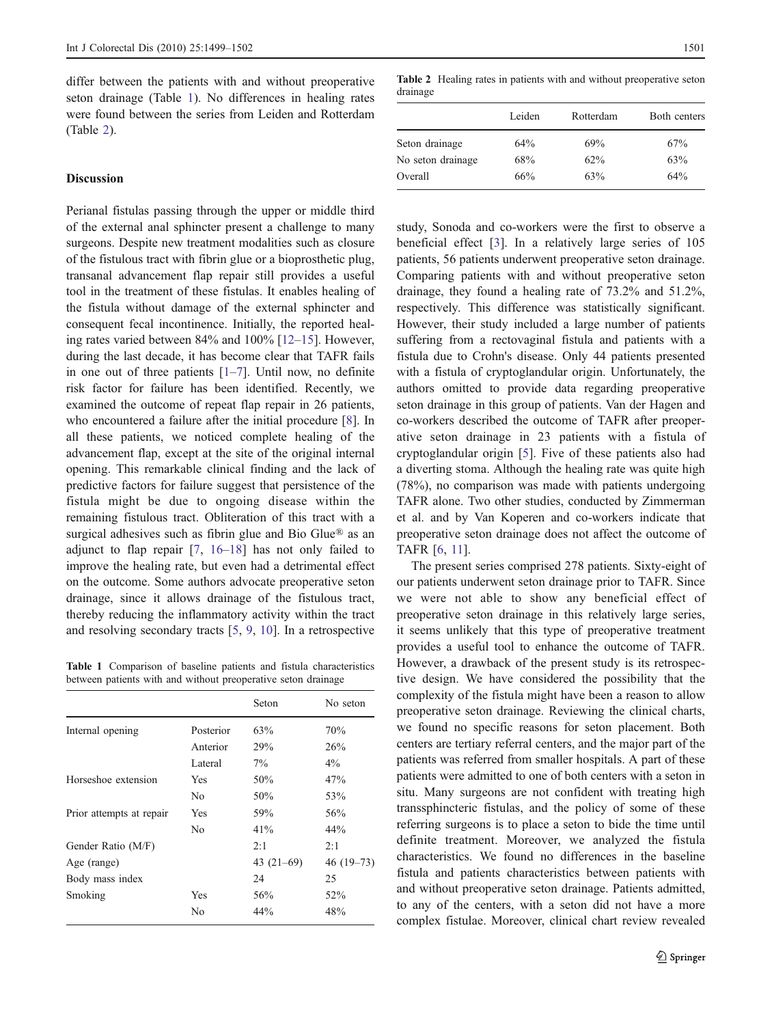differ between the patients with and without preoperative seton drainage (Table 1). No differences in healing rates were found between the series from Leiden and Rotterdam (Table 2).

# Discussion

Perianal fistulas passing through the upper or middle third of the external anal sphincter present a challenge to many surgeons. Despite new treatment modalities such as closure of the fistulous tract with fibrin glue or a bioprosthetic plug, transanal advancement flap repair still provides a useful tool in the treatment of these fistulas. It enables healing of the fistula without damage of the external sphincter and consequent fecal incontinence. Initially, the reported healing rates varied between 84% and 100% [\[12](#page-3-0)–[15](#page-3-0)]. However, during the last decade, it has become clear that TAFR fails in one out of three patients  $[1-7]$  $[1-7]$  $[1-7]$  $[1-7]$ . Until now, no definite risk factor for failure has been identified. Recently, we examined the outcome of repeat flap repair in 26 patients, who encountered a failure after the initial procedure [\[8](#page-3-0)]. In all these patients, we noticed complete healing of the advancement flap, except at the site of the original internal opening. This remarkable clinical finding and the lack of predictive factors for failure suggest that persistence of the fistula might be due to ongoing disease within the remaining fistulous tract. Obliteration of this tract with a surgical adhesives such as fibrin glue and Bio Glue® as an adjunct to flap repair [\[7](#page-3-0), [16](#page-3-0)–[18\]](#page-3-0) has not only failed to improve the healing rate, but even had a detrimental effect on the outcome. Some authors advocate preoperative seton drainage, since it allows drainage of the fistulous tract, thereby reducing the inflammatory activity within the tract and resolving secondary tracts [\[5](#page-3-0), [9,](#page-3-0) [10\]](#page-3-0). In a retrospective

Table 1 Comparison of baseline patients and fistula characteristics between patients with and without preoperative seton drainage

|                          |           | Seton        | No seton    |
|--------------------------|-----------|--------------|-------------|
| Internal opening         | Posterior | 63%          | 70%         |
|                          | Anterior  | 29%          | 26%         |
|                          | Lateral   | $7\%$        | $4\%$       |
| Horseshoe extension      | Yes       | 50%          | 47%         |
|                          | No        | 50%          | 53%         |
| Prior attempts at repair | Yes       | 59%          | 56%         |
|                          | No        | 41%          | 44%         |
| Gender Ratio (M/F)       |           | 2:1          | 2:1         |
| Age (range)              |           | 43 $(21-69)$ | $46(19-73)$ |
| Body mass index          |           | 24           | 25          |
| Smoking                  | Yes       | 56%          | 52%         |
|                          | No        | 44%          | 48%         |

Table 2 Healing rates in patients with and without preoperative seton drainage

|                   | Leiden | Rotterdam | Both centers |
|-------------------|--------|-----------|--------------|
| Seton drainage    | 64%    | 69%       | 67%          |
| No seton drainage | 68%    | 62%       | 63%          |
| Overall           | 66%    | 63%       | 64%          |

study, Sonoda and co-workers were the first to observe a beneficial effect [\[3](#page-3-0)]. In a relatively large series of 105 patients, 56 patients underwent preoperative seton drainage. Comparing patients with and without preoperative seton drainage, they found a healing rate of 73.2% and 51.2%, respectively. This difference was statistically significant. However, their study included a large number of patients suffering from a rectovaginal fistula and patients with a fistula due to Crohn's disease. Only 44 patients presented with a fistula of cryptoglandular origin. Unfortunately, the authors omitted to provide data regarding preoperative seton drainage in this group of patients. Van der Hagen and co-workers described the outcome of TAFR after preoperative seton drainage in 23 patients with a fistula of cryptoglandular origin [\[5](#page-3-0)]. Five of these patients also had a diverting stoma. Although the healing rate was quite high (78%), no comparison was made with patients undergoing TAFR alone. Two other studies, conducted by Zimmerman et al. and by Van Koperen and co-workers indicate that preoperative seton drainage does not affect the outcome of TAFR [\[6](#page-3-0), [11\]](#page-3-0).

The present series comprised 278 patients. Sixty-eight of our patients underwent seton drainage prior to TAFR. Since we were not able to show any beneficial effect of preoperative seton drainage in this relatively large series, it seems unlikely that this type of preoperative treatment provides a useful tool to enhance the outcome of TAFR. However, a drawback of the present study is its retrospective design. We have considered the possibility that the complexity of the fistula might have been a reason to allow preoperative seton drainage. Reviewing the clinical charts, we found no specific reasons for seton placement. Both centers are tertiary referral centers, and the major part of the patients was referred from smaller hospitals. A part of these patients were admitted to one of both centers with a seton in situ. Many surgeons are not confident with treating high transsphincteric fistulas, and the policy of some of these referring surgeons is to place a seton to bide the time until definite treatment. Moreover, we analyzed the fistula characteristics. We found no differences in the baseline fistula and patients characteristics between patients with and without preoperative seton drainage. Patients admitted, to any of the centers, with a seton did not have a more complex fistulae. Moreover, clinical chart review revealed